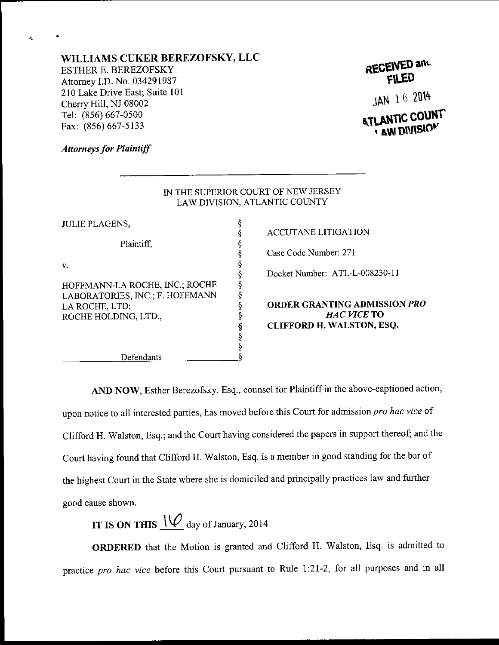## WILLIAMS CUKER BEREZOFSKY, LLC

ESTHER E. BEREZOFSKY Attomey LD. No. 034291987 210 Lake Drive East; Suite 101 Cheny Hill, NJ 08002 Tel: (856) 667-0500 Fax: (856) 667-5133

| RECEIVED and |  |
|--------------|--|
| <b>FILED</b> |  |

JAN 16 2014 **AW DIVISION** 

## **Attorneys for Plaintiff**

 $\mathbf{A}$ 

|                                 | IN THE SUPERIOR COURT OF NEW JERSEY |
|---------------------------------|-------------------------------------|
|                                 | LAW DIVISION, ATLANTIC COUNTY       |
| <b>JULIE PLAGENS,</b>           |                                     |
|                                 | <b>ACCUTANE LITIGATION</b>          |
| Plaintiff,                      |                                     |
|                                 | Case Code Number: 271               |
| v.                              |                                     |
|                                 | Docket Number: ATL-L-008230-11      |
| HOFFMANN-LA ROCHE, INC.; ROCHE  |                                     |
| LABORATORIES, INC.; F. HOFFMANN |                                     |
| LA ROCHE, LTD;                  | <b>ORDER GRANTING ADMISSIO</b>      |
| ROCHE HOLDING, LTD.,            | HAC VICE TO                         |
|                                 | CLIFFORD H. WALSTON, ESQ.           |
|                                 |                                     |
|                                 |                                     |
| Defendants                      |                                     |
|                                 |                                     |

ANTING ADMISSION *PRO* HAC VICE TO **H. WALSTON, ESQ.** 

AND NOW, Esther Berezofsky, Esq., counsel for Plaintiff in the above-captioned action, upon notice to all interested parties, has moved before this Court for admission pro hac vice of Clifford H. Walston, Esq.; and the Court having considered the papers in support thereof; and the Court having found that Clifford H. Walston, Esq. is a member in good standing for the bar of the highest Court in the State where she is domiciled and principally practices law and further good cause shown.

IT IS ON THIS  $\mathcal{U}_{\text{day of January, 2014}}$ 

ORDERED that the Motion is granted and Clifford H. Walston, Esq. is admitted to practice *pro hac vice* before this Court pursuant to Rule 1:21-2, for all purposes and in all